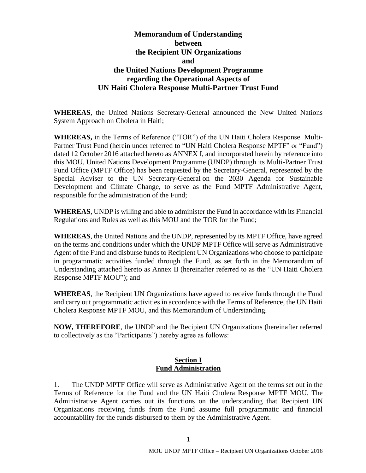# **Memorandum of Understanding between the Recipient UN Organizations and the United Nations Development Programme regarding the Operational Aspects of UN Haiti Cholera Response Multi-Partner Trust Fund**

**WHEREAS**, the United Nations Secretary-General announced the New United Nations System Approach on Cholera in Haiti;

**WHEREAS,** in the Terms of Reference ("TOR") of the UN Haiti Cholera Response Multi-Partner Trust Fund (herein under referred to "UN Haiti Cholera Response MPTF" or "Fund") dated 12 October 2016 attached hereto as ANNEX I, and incorporated herein by reference into this MOU, United Nations Development Programme (UNDP) through its Multi-Partner Trust Fund Office (MPTF Office) has been requested by the Secretary-General, represented by the Special Adviser to the UN Secretary-General on the 2030 Agenda for Sustainable Development and Climate Change, to serve as the Fund MPTF Administrative Agent, responsible for the administration of the Fund;

**WHEREAS**, UNDP is willing and able to administer the Fund in accordance with its Financial Regulations and Rules as well as this MOU and the TOR for the Fund;

**WHEREAS**, the United Nations and the UNDP, represented by its MPTF Office, have agreed on the terms and conditions under which the UNDP MPTF Office will serve as Administrative Agent of the Fund and disburse funds to Recipient UN Organizations who choose to participate in programmatic activities funded through the Fund, as set forth in the Memorandum of Understanding attached hereto as Annex II (hereinafter referred to as the "UN Haiti Cholera Response MPTF MOU"); and

**WHEREAS**, the Recipient UN Organizations have agreed to receive funds through the Fund and carry out programmatic activities in accordance with the Terms of Reference, the UN Haiti Cholera Response MPTF MOU, and this Memorandum of Understanding.

**NOW, THEREFORE**, the UNDP and the Recipient UN Organizations (hereinafter referred to collectively as the "Participants") hereby agree as follows:

#### **Section I Fund Administration**

1. The UNDP MPTF Office will serve as Administrative Agent on the terms set out in the Terms of Reference for the Fund and the UN Haiti Cholera Response MPTF MOU. The Administrative Agent carries out its functions on the understanding that Recipient UN Organizations receiving funds from the Fund assume full programmatic and financial accountability for the funds disbursed to them by the Administrative Agent.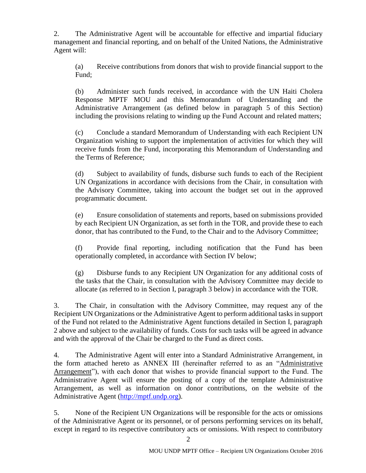2. The Administrative Agent will be accountable for effective and impartial fiduciary management and financial reporting, and on behalf of the United Nations, the Administrative Agent will:

(a) Receive contributions from donors that wish to provide financial support to the Fund;

(b) Administer such funds received, in accordance with the UN Haiti Cholera Response MPTF MOU and this Memorandum of Understanding and the Administrative Arrangement (as defined below in paragraph 5 of this Section) including the provisions relating to winding up the Fund Account and related matters;

(c) Conclude a standard Memorandum of Understanding with each Recipient UN Organization wishing to support the implementation of activities for which they will receive funds from the Fund, incorporating this Memorandum of Understanding and the Terms of Reference;

(d) Subject to availability of funds, disburse such funds to each of the Recipient UN Organizations in accordance with decisions from the Chair, in consultation with the Advisory Committee, taking into account the budget set out in the approved programmatic document.

(e) Ensure consolidation of statements and reports, based on submissions provided by each Recipient UN Organization, as set forth in the TOR, and provide these to each donor, that has contributed to the Fund, to the Chair and to the Advisory Committee;

(f) Provide final reporting, including notification that the Fund has been operationally completed, in accordance with Section IV below;

(g) Disburse funds to any Recipient UN Organization for any additional costs of the tasks that the Chair, in consultation with the Advisory Committee may decide to allocate (as referred to in Section I, paragraph 3 below) in accordance with the TOR.

3. The Chair, in consultation with the Advisory Committee, may request any of the Recipient UN Organizations or the Administrative Agent to perform additional tasks in support of the Fund not related to the Administrative Agent functions detailed in Section I, paragraph 2 above and subject to the availability of funds. Costs for such tasks will be agreed in advance and with the approval of the Chair be charged to the Fund as direct costs.

4. The Administrative Agent will enter into a Standard Administrative Arrangement, in the form attached hereto as ANNEX III (hereinafter referred to as an "Administrative Arrangement"), with each donor that wishes to provide financial support to the Fund. The Administrative Agent will ensure the posting of a copy of the template Administrative Arrangement, as well as information on donor contributions, on the website of the Administrative Agent [\(http://mptf.undp.org\)](http://mptf.undp.org/).

5. None of the Recipient UN Organizations will be responsible for the acts or omissions of the Administrative Agent or its personnel, or of persons performing services on its behalf, except in regard to its respective contributory acts or omissions. With respect to contributory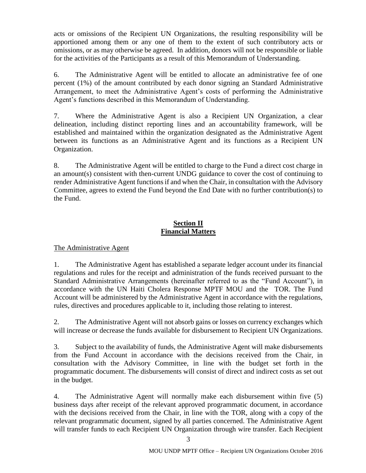acts or omissions of the Recipient UN Organizations, the resulting responsibility will be apportioned among them or any one of them to the extent of such contributory acts or omissions, or as may otherwise be agreed. In addition, donors will not be responsible or liable for the activities of the Participants as a result of this Memorandum of Understanding.

6. The Administrative Agent will be entitled to allocate an administrative fee of one percent (1%) of the amount contributed by each donor signing an Standard Administrative Arrangement, to meet the Administrative Agent's costs of performing the Administrative Agent's functions described in this Memorandum of Understanding.

7. Where the Administrative Agent is also a Recipient UN Organization, a clear delineation, including distinct reporting lines and an accountability framework, will be established and maintained within the organization designated as the Administrative Agent between its functions as an Administrative Agent and its functions as a Recipient UN Organization.

8. The Administrative Agent will be entitled to charge to the Fund a direct cost charge in an amount(s) consistent with then-current UNDG guidance to cover the cost of continuing to render Administrative Agent functions if and when the Chair, in consultation with the Advisory Committee, agrees to extend the Fund beyond the End Date with no further contribution(s) to the Fund.

## **Section II Financial Matters**

The Administrative Agent

1. The Administrative Agent has established a separate ledger account under its financial regulations and rules for the receipt and administration of the funds received pursuant to the Standard Administrative Arrangements (hereinafter referred to as the "Fund Account"), in accordance with the UN Haiti Cholera Response MPTF MOU and the TOR. The Fund Account will be administered by the Administrative Agent in accordance with the regulations, rules, directives and procedures applicable to it, including those relating to interest.

2. The Administrative Agent will not absorb gains or losses on currency exchanges which will increase or decrease the funds available for disbursement to Recipient UN Organizations.

3. Subject to the availability of funds, the Administrative Agent will make disbursements from the Fund Account in accordance with the decisions received from the Chair, in consultation with the Advisory Committee, in line with the budget set forth in the programmatic document. The disbursements will consist of direct and indirect costs as set out in the budget.

4. The Administrative Agent will normally make each disbursement within five (5) business days after receipt of the relevant approved programmatic document, in accordance with the decisions received from the Chair, in line with the TOR, along with a copy of the relevant programmatic document, signed by all parties concerned. The Administrative Agent will transfer funds to each Recipient UN Organization through wire transfer. Each Recipient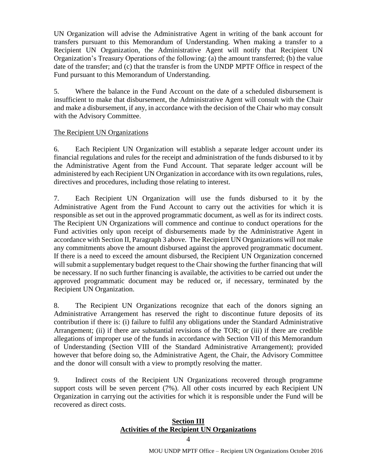UN Organization will advise the Administrative Agent in writing of the bank account for transfers pursuant to this Memorandum of Understanding. When making a transfer to a Recipient UN Organization, the Administrative Agent will notify that Recipient UN Organization's Treasury Operations of the following: (a) the amount transferred; (b) the value date of the transfer; and (c) that the transfer is from the UNDP MPTF Office in respect of the Fund pursuant to this Memorandum of Understanding.

5. Where the balance in the Fund Account on the date of a scheduled disbursement is insufficient to make that disbursement, the Administrative Agent will consult with the Chair and make a disbursement, if any, in accordance with the decision of the Chair who may consult with the Advisory Committee.

## The Recipient UN Organizations

6. Each Recipient UN Organization will establish a separate ledger account under its financial regulations and rules for the receipt and administration of the funds disbursed to it by the Administrative Agent from the Fund Account. That separate ledger account will be administered by each Recipient UN Organization in accordance with its own regulations, rules, directives and procedures, including those relating to interest.

7. Each Recipient UN Organization will use the funds disbursed to it by the Administrative Agent from the Fund Account to carry out the activities for which it is responsible as set out in the approved programmatic document, as well as for its indirect costs. The Recipient UN Organizations will commence and continue to conduct operations for the Fund activities only upon receipt of disbursements made by the Administrative Agent in accordance with Section II, Paragraph 3 above. The Recipient UN Organizations will not make any commitments above the amount disbursed against the approved programmatic document. If there is a need to exceed the amount disbursed, the Recipient UN Organization concerned will submit a supplementary budget request to the Chair showing the further financing that will be necessary. If no such further financing is available, the activities to be carried out under the approved programmatic document may be reduced or, if necessary, terminated by the Recipient UN Organization.

8. The Recipient UN Organizations recognize that each of the donors signing an Administrative Arrangement has reserved the right to discontinue future deposits of its contribution if there is: (i) failure to fulfil any obligations under the Standard Administrative Arrangement; (ii) if there are substantial revisions of the TOR; or (iii) if there are credible allegations of improper use of the funds in accordance with Section VII of this Memorandum of Understanding (Section VIII of the Standard Administrative Arrangement); provided however that before doing so, the Administrative Agent, the Chair, the Advisory Committee and the donor will consult with a view to promptly resolving the matter.

9. Indirect costs of the Recipient UN Organizations recovered through programme support costs will be seven percent (7%). All other costs incurred by each Recipient UN Organization in carrying out the activities for which it is responsible under the Fund will be recovered as direct costs.

## **Section III Activities of the Recipient UN Organizations**

4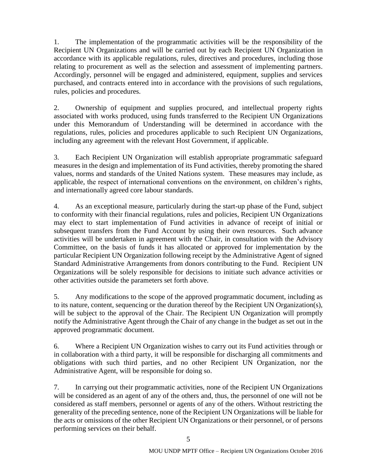1. The implementation of the programmatic activities will be the responsibility of the Recipient UN Organizations and will be carried out by each Recipient UN Organization in accordance with its applicable regulations, rules, directives and procedures, including those relating to procurement as well as the selection and assessment of implementing partners. Accordingly, personnel will be engaged and administered, equipment, supplies and services purchased, and contracts entered into in accordance with the provisions of such regulations, rules, policies and procedures.

2. Ownership of equipment and supplies procured, and intellectual property rights associated with works produced, using funds transferred to the Recipient UN Organizations under this Memorandum of Understanding will be determined in accordance with the regulations, rules, policies and procedures applicable to such Recipient UN Organizations, including any agreement with the relevant Host Government, if applicable.

3. Each Recipient UN Organization will establish appropriate programmatic safeguard measures in the design and implementation of its Fund activities, thereby promoting the shared values, norms and standards of the United Nations system. These measures may include, as applicable, the respect of international conventions on the environment, on children's rights, and internationally agreed core labour standards.

4. As an exceptional measure, particularly during the start-up phase of the Fund, subject to conformity with their financial regulations, rules and policies, Recipient UN Organizations may elect to start implementation of Fund activities in advance of receipt of initial or subsequent transfers from the Fund Account by using their own resources. Such advance activities will be undertaken in agreement with the Chair, in consultation with the Advisory Committee, on the basis of funds it has allocated or approved for implementation by the particular Recipient UN Organization following receipt by the Administrative Agent of signed Standard Administrative Arrangements from donors contributing to the Fund. Recipient UN Organizations will be solely responsible for decisions to initiate such advance activities or other activities outside the parameters set forth above.

5. Any modifications to the scope of the approved programmatic document, including as to its nature, content, sequencing or the duration thereof by the Recipient UN Organization(s), will be subject to the approval of the Chair. The Recipient UN Organization will promptly notify the Administrative Agent through the Chair of any change in the budget as set out in the approved programmatic document.

6. Where a Recipient UN Organization wishes to carry out its Fund activities through or in collaboration with a third party, it will be responsible for discharging all commitments and obligations with such third parties, and no other Recipient UN Organization, nor the Administrative Agent, will be responsible for doing so.

7. In carrying out their programmatic activities, none of the Recipient UN Organizations will be considered as an agent of any of the others and, thus, the personnel of one will not be considered as staff members, personnel or agents of any of the others. Without restricting the generality of the preceding sentence, none of the Recipient UN Organizations will be liable for the acts or omissions of the other Recipient UN Organizations or their personnel, or of persons performing services on their behalf.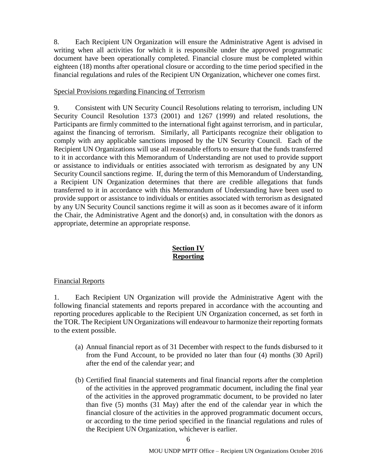8. Each Recipient UN Organization will ensure the Administrative Agent is advised in writing when all activities for which it is responsible under the approved programmatic document have been operationally completed. Financial closure must be completed within eighteen (18) months after operational closure or according to the time period specified in the financial regulations and rules of the Recipient UN Organization, whichever one comes first.

#### Special Provisions regarding Financing of Terrorism

9. Consistent with UN Security Council Resolutions relating to terrorism, including UN Security Council Resolution 1373 (2001) and 1267 (1999) and related resolutions, the Participants are firmly committed to the international fight against terrorism, and in particular, against the financing of terrorism. Similarly, all Participants recognize their obligation to comply with any applicable sanctions imposed by the UN Security Council. Each of the Recipient UN Organizations will use all reasonable efforts to ensure that the funds transferred to it in accordance with this Memorandum of Understanding are not used to provide support or assistance to individuals or entities associated with terrorism as designated by any UN Security Council sanctions regime. If, during the term of this Memorandum of Understanding, a Recipient UN Organization determines that there are credible allegations that funds transferred to it in accordance with this Memorandum of Understanding have been used to provide support or assistance to individuals or entities associated with terrorism as designated by any UN Security Council sanctions regime it will as soon as it becomes aware of it inform the Chair, the Administrative Agent and the donor(s) and, in consultation with the donors as appropriate, determine an appropriate response.

## **Section IV Reporting**

## Financial Reports

1. Each Recipient UN Organization will provide the Administrative Agent with the following financial statements and reports prepared in accordance with the accounting and reporting procedures applicable to the Recipient UN Organization concerned, as set forth in the TOR. The Recipient UN Organizations will endeavour to harmonize their reporting formats to the extent possible.

- (a) Annual financial report as of 31 December with respect to the funds disbursed to it from the Fund Account, to be provided no later than four (4) months (30 April) after the end of the calendar year; and
- (b) Certified final financial statements and final financial reports after the completion of the activities in the approved programmatic document, including the final year of the activities in the approved programmatic document, to be provided no later than five (5) months (31 May) after the end of the calendar year in which the financial closure of the activities in the approved programmatic document occurs, or according to the time period specified in the financial regulations and rules of the Recipient UN Organization, whichever is earlier.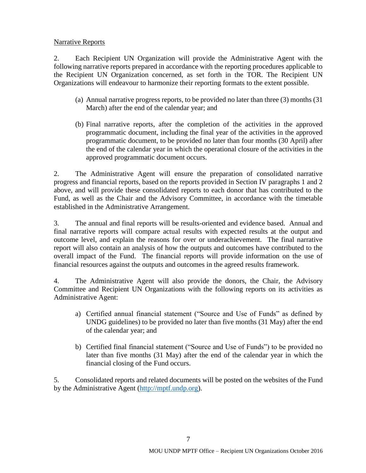#### Narrative Reports

2. Each Recipient UN Organization will provide the Administrative Agent with the following narrative reports prepared in accordance with the reporting procedures applicable to the Recipient UN Organization concerned, as set forth in the TOR. The Recipient UN Organizations will endeavour to harmonize their reporting formats to the extent possible.

- (a) Annual narrative progress reports, to be provided no later than three (3) months (31 March) after the end of the calendar year; and
- (b) Final narrative reports, after the completion of the activities in the approved programmatic document, including the final year of the activities in the approved programmatic document, to be provided no later than four months (30 April) after the end of the calendar year in which the operational closure of the activities in the approved programmatic document occurs.

2. The Administrative Agent will ensure the preparation of consolidated narrative progress and financial reports, based on the reports provided in Section IV paragraphs 1 and 2 above, and will provide these consolidated reports to each donor that has contributed to the Fund, as well as the Chair and the Advisory Committee, in accordance with the timetable established in the Administrative Arrangement.

3. The annual and final reports will be results-oriented and evidence based. Annual and final narrative reports will compare actual results with expected results at the output and outcome level, and explain the reasons for over or underachievement. The final narrative report will also contain an analysis of how the outputs and outcomes have contributed to the overall impact of the Fund. The financial reports will provide information on the use of financial resources against the outputs and outcomes in the agreed results framework.

4. The Administrative Agent will also provide the donors, the Chair, the Advisory Committee and Recipient UN Organizations with the following reports on its activities as Administrative Agent:

- a) Certified annual financial statement ("Source and Use of Funds" as defined by UNDG guidelines) to be provided no later than five months (31 May) after the end of the calendar year; and
- b) Certified final financial statement ("Source and Use of Funds") to be provided no later than five months (31 May) after the end of the calendar year in which the financial closing of the Fund occurs.

5. Consolidated reports and related documents will be posted on the websites of the Fund by the Administrative Agent [\(http://mptf.undp.org\)](http://mptf.undp.org/).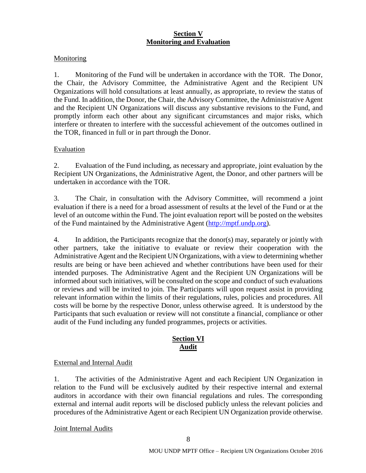## **Section V Monitoring and Evaluation**

## **Monitoring**

1. Monitoring of the Fund will be undertaken in accordance with the TOR. The Donor, the Chair, the Advisory Committee, the Administrative Agent and the Recipient UN Organizations will hold consultations at least annually, as appropriate, to review the status of the Fund. In addition, the Donor, the Chair, the Advisory Committee, the Administrative Agent and the Recipient UN Organizations will discuss any substantive revisions to the Fund, and promptly inform each other about any significant circumstances and major risks, which interfere or threaten to interfere with the successful achievement of the outcomes outlined in the TOR, financed in full or in part through the Donor.

## Evaluation

2. Evaluation of the Fund including, as necessary and appropriate, joint evaluation by the Recipient UN Organizations, the Administrative Agent, the Donor, and other partners will be undertaken in accordance with the TOR.

3. The Chair, in consultation with the Advisory Committee, will recommend a joint evaluation if there is a need for a broad assessment of results at the level of the Fund or at the level of an outcome within the Fund. The joint evaluation report will be posted on the websites of the Fund maintained by the Administrative Agent [\(http://mptf.undp.org\)](http://mptf.undp.org/).

4. In addition, the Participants recognize that the donor(s) may, separately or jointly with other partners, take the initiative to evaluate or review their cooperation with the Administrative Agent and the Recipient UN Organizations, with a view to determining whether results are being or have been achieved and whether contributions have been used for their intended purposes. The Administrative Agent and the Recipient UN Organizations will be informed about such initiatives, will be consulted on the scope and conduct of such evaluations or reviews and will be invited to join. The Participants will upon request assist in providing relevant information within the limits of their regulations, rules, policies and procedures. All costs will be borne by the respective Donor, unless otherwise agreed. It is understood by the Participants that such evaluation or review will not constitute a financial, compliance or other audit of the Fund including any funded programmes, projects or activities.

## **Section VI Audit**

#### External and Internal Audit

1. The activities of the Administrative Agent and each Recipient UN Organization in relation to the Fund will be exclusively audited by their respective internal and external auditors in accordance with their own financial regulations and rules. The corresponding external and internal audit reports will be disclosed publicly unless the relevant policies and procedures of the Administrative Agent or each Recipient UN Organization provide otherwise.

#### Joint Internal Audits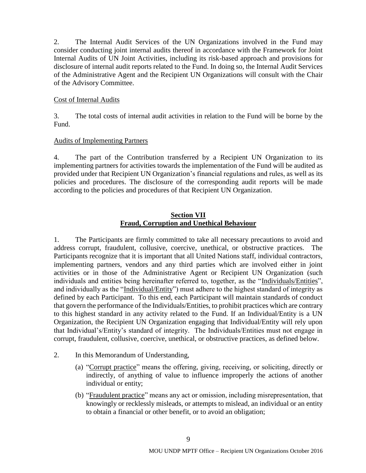2. The Internal Audit Services of the UN Organizations involved in the Fund may consider conducting joint internal audits thereof in accordance with the Framework for Joint Internal Audits of UN Joint Activities, including its risk-based approach and provisions for disclosure of internal audit reports related to the Fund. In doing so, the Internal Audit Services of the Administrative Agent and the Recipient UN Organizations will consult with the Chair of the Advisory Committee.

#### Cost of Internal Audits

3. The total costs of internal audit activities in relation to the Fund will be borne by the Fund.

## Audits of Implementing Partners

4. The part of the Contribution transferred by a Recipient UN Organization to its implementing partners for activities towards the implementation of the Fund will be audited as provided under that Recipient UN Organization's financial regulations and rules, as well as its policies and procedures. The disclosure of the corresponding audit reports will be made according to the policies and procedures of that Recipient UN Organization.

## **Section VII Fraud, Corruption and Unethical Behaviour**

1. The Participants are firmly committed to take all necessary precautions to avoid and address corrupt, fraudulent, collusive, coercive, unethical, or obstructive practices. The Participants recognize that it is important that all United Nations staff, individual contractors, implementing partners, vendors and any third parties which are involved either in joint activities or in those of the Administrative Agent or Recipient UN Organization (such individuals and entities being hereinafter referred to, together, as the "Individuals/Entities", and individually as the "Individual/Entity") must adhere to the highest standard of integrity as defined by each Participant. To this end, each Participant will maintain standards of conduct that govern the performance of the Individuals/Entities, to prohibit practices which are contrary to this highest standard in any activity related to the Fund. If an Individual/Entity is a UN Organization, the Recipient UN Organization engaging that Individual/Entity will rely upon that Individual's/Entity's standard of integrity. The Individuals/Entities must not engage in corrupt, fraudulent, collusive, coercive, unethical, or obstructive practices, as defined below.

- 2. In this Memorandum of Understanding,
	- (a) "Corrupt practice" means the offering, giving, receiving, or soliciting, directly or indirectly, of anything of value to influence improperly the actions of another individual or entity;
	- (b) "Fraudulent practice" means any act or omission, including misrepresentation, that knowingly or recklessly misleads, or attempts to mislead, an individual or an entity to obtain a financial or other benefit, or to avoid an obligation;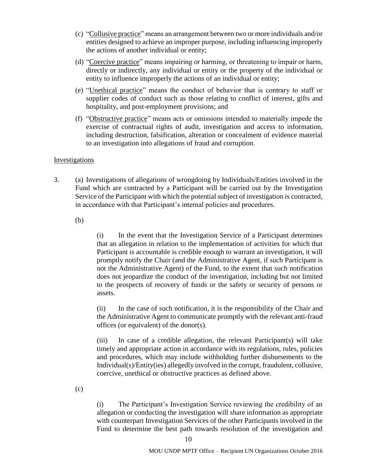- (c) "Collusive practice" means an arrangement between two or more individuals and/or entities designed to achieve an improper purpose, including influencing improperly the actions of another individual or entity;
- (d) "Coercive practice" means impairing or harming, or threatening to impair or harm, directly or indirectly, any individual or entity or the property of the individual or entity to influence improperly the actions of an individual or entity;
- (e) "Unethical practice" means the conduct of behavior that is contrary to staff or supplier codes of conduct such as those relating to conflict of interest, gifts and hospitality, and post-employment provisions; and
- (f) "Obstructive practice" means acts or omissions intended to materially impede the exercise of contractual rights of audit, investigation and access to information, including destruction, falsification, alteration or concealment of evidence material to an investigation into allegations of fraud and corruption.

#### Investigations

3. (a) Investigations of allegations of wrongdoing by Individuals/Entities involved in the Fund which are contracted by a Participant will be carried out by the Investigation Service of the Participant with which the potential subject of investigation is contracted, in accordance with that Participant's internal policies and procedures.

(b)

(i) In the event that the Investigation Service of a Participant determines that an allegation in relation to the implementation of activities for which that Participant is accountable is credible enough to warrant an investigation, it will promptly notify the Chair (and the Administrative Agent, if such Participant is not the Administrative Agent) of the Fund, to the extent that such notification does not jeopardize the conduct of the investigation, including but not limited to the prospects of recovery of funds or the safety or security of persons or assets.

(ii) In the case of such notification, it is the responsibility of the Chair and the Administrative Agent to communicate promptly with the relevant anti-fraud offices (or equivalent) of the donor(s).

(iii) In case of a credible allegation, the relevant Participant(s) will take timely and appropriate action in accordance with its regulations, rules, policies and procedures, which may include withholding further disbursements to the Individual(s)/Entity(ies) allegedly involved in the corrupt, fraudulent, collusive, coercive, unethical or obstructive practices as defined above.

(c)

(i) The Participant's Investigation Service reviewing the credibility of an allegation or conducting the investigation will share information as appropriate with counterpart Investigation Services of the other Participants involved in the Fund to determine the best path towards resolution of the investigation and

10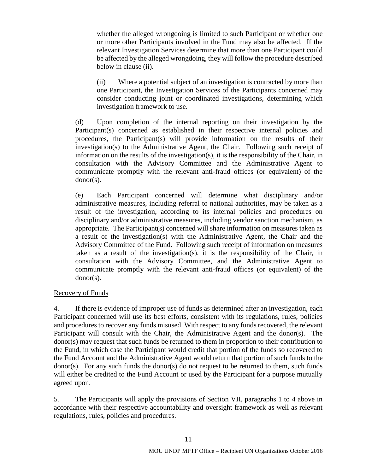whether the alleged wrongdoing is limited to such Participant or whether one or more other Participants involved in the Fund may also be affected. If the relevant Investigation Services determine that more than one Participant could be affected by the alleged wrongdoing, they will follow the procedure described below in clause (ii).

(ii) Where a potential subject of an investigation is contracted by more than one Participant, the Investigation Services of the Participants concerned may consider conducting joint or coordinated investigations, determining which investigation framework to use.

(d) Upon completion of the internal reporting on their investigation by the Participant(s) concerned as established in their respective internal policies and procedures, the Participant(s) will provide information on the results of their investigation(s) to the Administrative Agent, the Chair. Following such receipt of information on the results of the investigation(s), it is the responsibility of the Chair, in consultation with the Advisory Committee and the Administrative Agent to communicate promptly with the relevant anti-fraud offices (or equivalent) of the donor(s).

(e) Each Participant concerned will determine what disciplinary and/or administrative measures, including referral to national authorities, may be taken as a result of the investigation, according to its internal policies and procedures on disciplinary and/or administrative measures, including vendor sanction mechanism, as appropriate. The Participant(s) concerned will share information on measures taken as a result of the investigation(s) with the Administrative Agent, the Chair and the Advisory Committee of the Fund. Following such receipt of information on measures taken as a result of the investigation(s), it is the responsibility of the Chair, in consultation with the Advisory Committee, and the Administrative Agent to communicate promptly with the relevant anti-fraud offices (or equivalent) of the donor(s).

#### Recovery of Funds

4. If there is evidence of improper use of funds as determined after an investigation, each Participant concerned will use its best efforts, consistent with its regulations, rules, policies and procedures to recover any funds misused. With respect to any funds recovered, the relevant Participant will consult with the Chair, the Administrative Agent and the donor(s). The donor(s) may request that such funds be returned to them in proportion to their contribution to the Fund, in which case the Participant would credit that portion of the funds so recovered to the Fund Account and the Administrative Agent would return that portion of such funds to the donor(s). For any such funds the donor(s) do not request to be returned to them, such funds will either be credited to the Fund Account or used by the Participant for a purpose mutually agreed upon.

5. The Participants will apply the provisions of Section VII, paragraphs 1 to 4 above in accordance with their respective accountability and oversight framework as well as relevant regulations, rules, policies and procedures.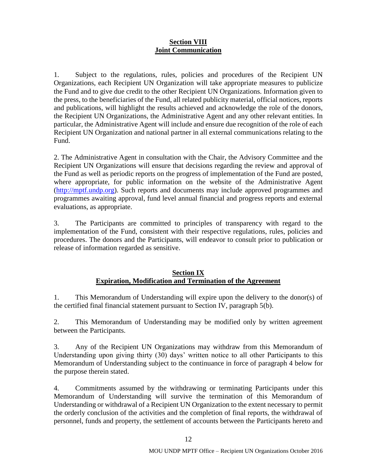#### **Section VIII Joint Communication**

1. Subject to the regulations, rules, policies and procedures of the Recipient UN Organizations, each Recipient UN Organization will take appropriate measures to publicize the Fund and to give due credit to the other Recipient UN Organizations. Information given to the press, to the beneficiaries of the Fund, all related publicity material, official notices, reports and publications, will highlight the results achieved and acknowledge the role of the donors, the Recipient UN Organizations, the Administrative Agent and any other relevant entities. In particular, the Administrative Agent will include and ensure due recognition of the role of each Recipient UN Organization and national partner in all external communications relating to the Fund.

2. The Administrative Agent in consultation with the Chair, the Advisory Committee and the Recipient UN Organizations will ensure that decisions regarding the review and approval of the Fund as well as periodic reports on the progress of implementation of the Fund are posted, where appropriate, for public information on the website of the Administrative Agent [\(http://mptf.undp.org\)](http://mptf.undp.org/). Such reports and documents may include approved programmes and programmes awaiting approval, fund level annual financial and progress reports and external evaluations, as appropriate.

3. The Participants are committed to principles of transparency with regard to the implementation of the Fund, consistent with their respective regulations, rules, policies and procedures. The donors and the Participants, will endeavor to consult prior to publication or release of information regarded as sensitive.

## **Section IX Expiration, Modification and Termination of the Agreement**

1. This Memorandum of Understanding will expire upon the delivery to the donor(s) of the certified final financial statement pursuant to Section IV, paragraph 5(b).

2. This Memorandum of Understanding may be modified only by written agreement between the Participants.

3. Any of the Recipient UN Organizations may withdraw from this Memorandum of Understanding upon giving thirty (30) days' written notice to all other Participants to this Memorandum of Understanding subject to the continuance in force of paragraph 4 below for the purpose therein stated.

4. Commitments assumed by the withdrawing or terminating Participants under this Memorandum of Understanding will survive the termination of this Memorandum of Understanding or withdrawal of a Recipient UN Organization to the extent necessary to permit the orderly conclusion of the activities and the completion of final reports, the withdrawal of personnel, funds and property, the settlement of accounts between the Participants hereto and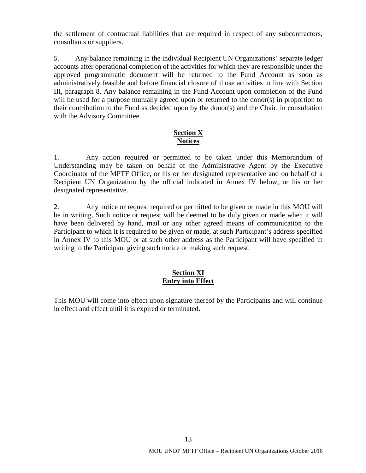the settlement of contractual liabilities that are required in respect of any subcontractors, consultants or suppliers.

5. Any balance remaining in the individual Recipient UN Organizations' separate ledger accounts after operational completion of the activities for which they are responsible under the approved programmatic document will be returned to the Fund Account as soon as administratively feasible and before financial closure of those activities in line with Section III, paragraph 8. Any balance remaining in the Fund Account upon completion of the Fund will be used for a purpose mutually agreed upon or returned to the donor(s) in proportion to their contribution to the Fund as decided upon by the donor(s) and the Chair, in consultation with the Advisory Committee.

## **Section X Notices**

1. Any action required or permitted to be taken under this Memorandum of Understanding may be taken on behalf of the Administrative Agent by the Executive Coordinator of the MPTF Office, or his or her designated representative and on behalf of a Recipient UN Organization by the official indicated in Annex IV below, or his or her designated representative.

2. Any notice or request required or permitted to be given or made in this MOU will be in writing. Such notice or request will be deemed to be duly given or made when it will have been delivered by hand, mail or any other agreed means of communication to the Participant to which it is required to be given or made, at such Participant's address specified in Annex IV to this MOU or at such other address as the Participant will have specified in writing to the Participant giving such notice or making such request.

# **Section XI Entry into Effect**

This MOU will come into effect upon signature thereof by the Participants and will continue in effect and effect until it is expired or terminated.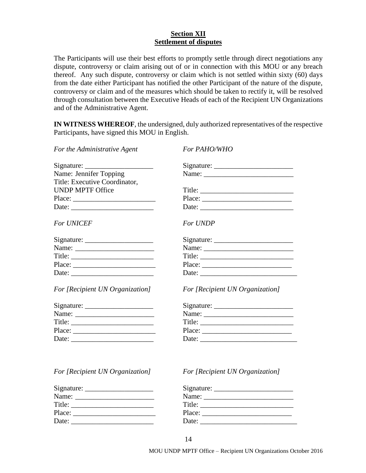## **Section XII Settlement of disputes**

The Participants will use their best efforts to promptly settle through direct negotiations any dispute, controversy or claim arising out of or in connection with this MOU or any breach thereof. Any such dispute, controversy or claim which is not settled within sixty (60) days from the date either Participant has notified the other Participant of the nature of the dispute, controversy or claim and of the measures which should be taken to rectify it, will be resolved through consultation between the Executive Heads of each of the Recipient UN Organizations and of the Administrative Agent.

**IN WITNESS WHEREOF**, the undersigned, duly authorized representatives of the respective Participants, have signed this MOU in English.

| For the Administrative Agent                              | For PAHO/WHO                    |
|-----------------------------------------------------------|---------------------------------|
| $Sigma:$ Signature:                                       |                                 |
| Name: Jennifer Topping                                    |                                 |
| Title: Executive Coordinator,                             |                                 |
| <b>UNDP MPTF Office</b>                                   | Title: $\qquad \qquad$          |
|                                                           | Place:                          |
| Date:                                                     | Date:                           |
| <b>For UNICEF</b>                                         | For UNDP                        |
|                                                           |                                 |
|                                                           |                                 |
| Title: $\qquad \qquad$                                    | Title:                          |
|                                                           | Place:                          |
| Date: $\frac{1}{\sqrt{1-\frac{1}{2}} \cdot \frac{1}{2}}$  |                                 |
| For [Recipient UN Organization]                           | For [Recipient UN Organization] |
|                                                           |                                 |
|                                                           |                                 |
| Title:                                                    |                                 |
| Place: $\frac{1}{\sqrt{1-\frac{1}{2}} \cdot \frac{1}{2}}$ | Place: $\qquad \qquad$          |
|                                                           | Date:                           |

#### *For [Recipient UN Organization] For [Recipient UN Organization]*

| Name:  | Name:  |
|--------|--------|
| Title: | Title: |
| Place: | Place: |
| Date:  | Date:  |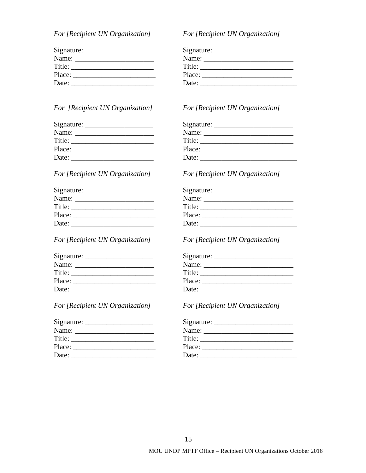*For [Recipient UN Organization] For [Recipient UN Organization]* 

|  |  |  |  |  | For [Recipient UN Organization] |  |
|--|--|--|--|--|---------------------------------|--|
|--|--|--|--|--|---------------------------------|--|

| Name:  | Name:  |
|--------|--------|
| Title: | Title: |
| Place: | Place: |
| Date:  | Date:  |

## *For [Recipient UN Organization] For [Recipient UN Organization]*

| Name: $\frac{1}{\sqrt{1-\frac{1}{2}}\cdot\frac{1}{\sqrt{1-\frac{1}{2}}}}$ |  |
|---------------------------------------------------------------------------|--|
| Title:                                                                    |  |
|                                                                           |  |
| Date:                                                                     |  |

| Signature: ______ |  |
|-------------------|--|
| Name:             |  |
| Title:            |  |
| Place:            |  |
| Date:             |  |

## *For [Recipient UN Organization] For [Recipient UN Organization]*

| Name:  |  |
|--------|--|
| Title: |  |
|        |  |
| Date:  |  |

# *For [Recipient UN Organization] For [Recipient UN Organization]*

|        | Title: $\sqrt{ }$ |  |
|--------|-------------------|--|
| Place: |                   |  |
| Date:  |                   |  |

| Name:  | Name:<br>the contract of the contract of the contract of the contract of the contract of |
|--------|------------------------------------------------------------------------------------------|
| Title: | Title:                                                                                   |
| Place: | Place:                                                                                   |
| Date:  | Date:                                                                                    |

#### *For [Recipient UN Organization] For [Recipient UN Organization]*

| Name:<br><u> 1980 - Johann John Stone, markin fizikar (</u> |        |
|-------------------------------------------------------------|--------|
| Title:                                                      | Title: |
| Place:                                                      | Place: |
| Date:                                                       | Date:  |

| Name:  | Name:           |
|--------|-----------------|
| Title: | $\text{Title:}$ |
| Place: | Place:          |
| Date:  | Date:           |

| Name:  | Name:  |
|--------|--------|
| Title: | Title: |
| Place: | Place: |
| Date:  | Date:  |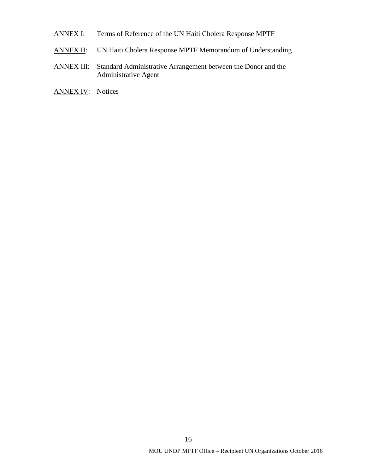- ANNEX I: Terms of Reference of the UN Haiti Cholera Response MPTF
- ANNEX II: UN Haiti Cholera Response MPTF Memorandum of Understanding
- ANNEX III: Standard Administrative Arrangement between the Donor and the Administrative Agent
- ANNEX IV: Notices